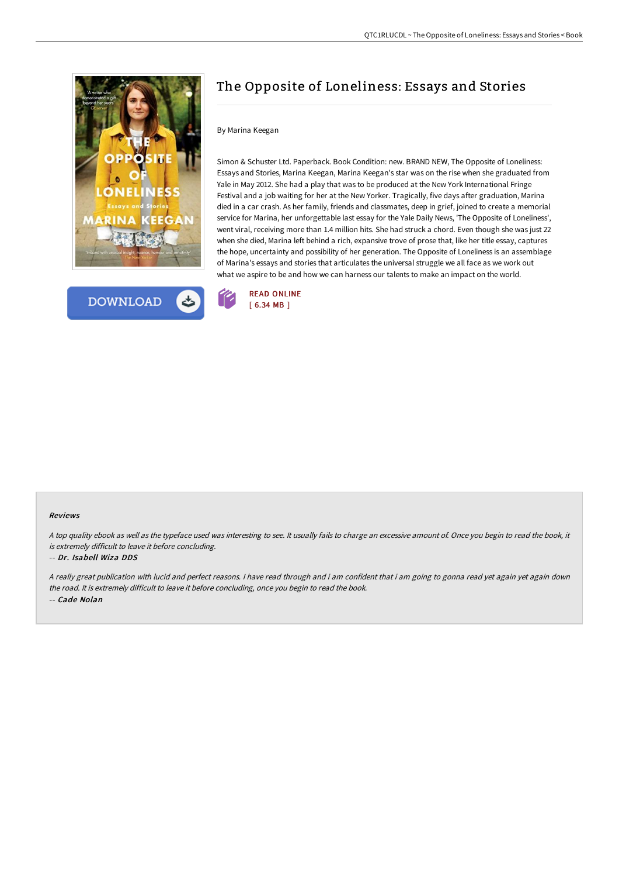



# The Opposite of Loneliness: Essays and Stories

### By Marina Keegan

Simon & Schuster Ltd. Paperback. Book Condition: new. BRAND NEW, The Opposite of Loneliness: Essays and Stories, Marina Keegan, Marina Keegan's star was on the rise when she graduated from Yale in May 2012. She had a play that was to be produced at the New York International Fringe Festival and a job waiting for her at the New Yorker. Tragically, five days after graduation, Marina died in a car crash. As her family, friends and classmates, deep in grief, joined to create a memorial service for Marina, her unforgettable last essay for the Yale Daily News, 'The Opposite of Loneliness', went viral, receiving more than 1.4 million hits. She had struck a chord. Even though she was just 22 when she died, Marina left behind a rich, expansive trove of prose that, like her title essay, captures the hope, uncertainty and possibility of her generation. The Opposite of Loneliness is an assemblage of Marina's essays and stories that articulates the universal struggle we all face as we work out what we aspire to be and how we can harness our talents to make an impact on the world.



#### Reviews

<sup>A</sup> top quality ebook as well as the typeface used was interesting to see. It usually fails to charge an excessive amount of. Once you begin to read the book, it is extremely difficult to leave it before concluding.

#### -- Dr. Isabell Wiza DDS

<sup>A</sup> really great publication with lucid and perfect reasons. <sup>I</sup> have read through and i am confident that i am going to gonna read yet again yet again down the road. It is extremely difficult to leave it before concluding, once you begin to read the book. -- Cade Nolan